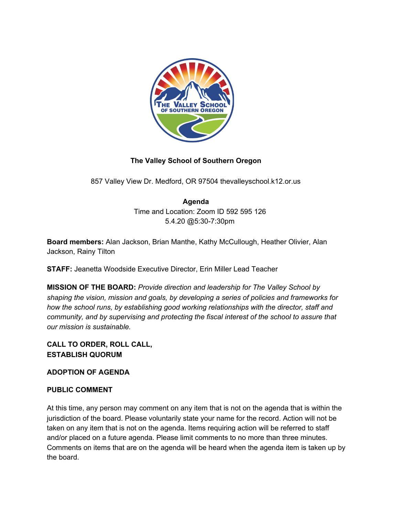

## **The Valley School of Southern Oregon**

857 Valley View Dr. Medford, OR 97504 thevalleyschool.k12.or.us

# **Agenda**

Time and Location: Zoom ID 592 595 126 5.4.20 @5:30-7:30pm

**Board members:** Alan Jackson, Brian Manthe, Kathy McCullough, Heather Olivier, Alan Jackson, Rainy Tilton

**STAFF:** Jeanetta Woodside Executive Director, Erin Miller Lead Teacher

**MISSION OF THE BOARD:** *Provide direction and leadership for The Valley School by shaping the vision, mission and goals, by developing a series of policies and frameworks for how the school runs, by establishing good working relationships with the director, staff and community, and by supervising and protecting the fiscal interest of the school to assure that our mission is sustainable.*

## **CALL TO ORDER, ROLL CALL, ESTABLISH QUORUM**

### **ADOPTION OF AGENDA**

### **PUBLIC COMMENT**

At this time, any person may comment on any item that is not on the agenda that is within the jurisdiction of the board. Please voluntarily state your name for the record. Action will not be taken on any item that is not on the agenda. Items requiring action will be referred to staff and/or placed on a future agenda. Please limit comments to no more than three minutes. Comments on items that are on the agenda will be heard when the agenda item is taken up by the board.